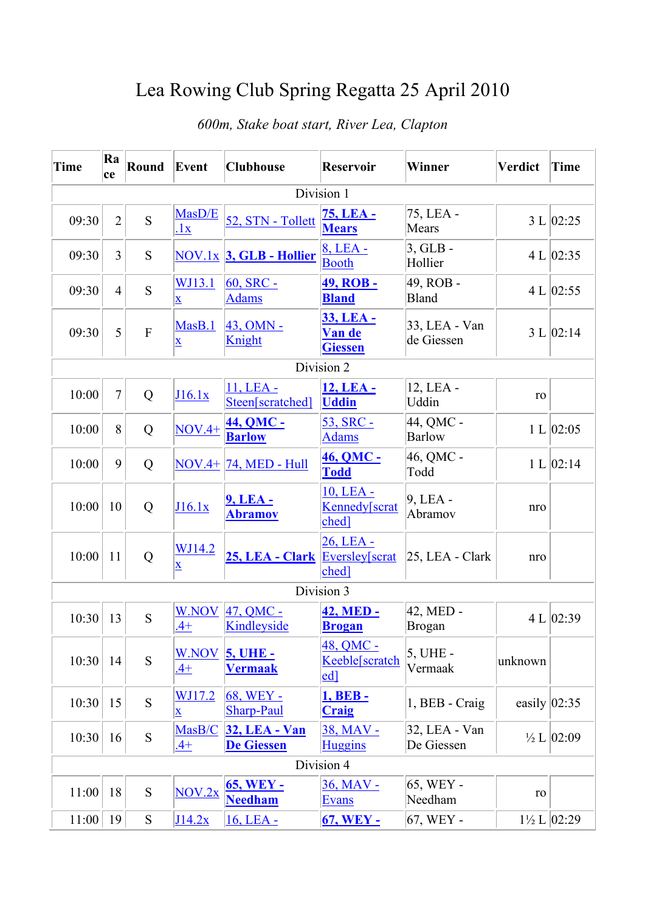## Lea Rowing Club Spring Regatta 25 April 2010

| <b>Time</b> | Ra<br>ce       | Round          | Event                               | <b>Clubhouse</b>                            | <b>Reservoir</b>                                | Winner                      | Verdict         | <b>Time</b>               |  |  |
|-------------|----------------|----------------|-------------------------------------|---------------------------------------------|-------------------------------------------------|-----------------------------|-----------------|---------------------------|--|--|
| Division 1  |                |                |                                     |                                             |                                                 |                             |                 |                           |  |  |
| 09:30       | $\overline{2}$ | S              | MasD/E<br>.1x                       | 52, STN - Tollett                           | 75, LEA -<br><b>Mears</b>                       | 75, LEA -<br>Mears          |                 | 3 L   02:25               |  |  |
| 09:30       | 3              | S              |                                     | $\overline{\text{NOV}.1x}$ 3, GLB - Hollier | 8, LEA -<br><b>Booth</b>                        | $3, GLB -$<br>Hollier       |                 | 4 L   02:35               |  |  |
| 09:30       | $\overline{4}$ | S              | WJ13.1<br>$\mathbf{\underline{x}}$  | 60, SRC -<br><b>Adams</b>                   | <u>49, ROB -</u><br><b>Bland</b>                | 49, ROB -<br><b>Bland</b>   |                 | 4 L   02:55               |  |  |
| 09:30       | 5              | $\overline{F}$ | MasB.1<br>$\bar{\mathbf{X}}$        | $43$ , OMN -<br>Knight                      | 33, LEA -<br>Van de<br><b>Giessen</b>           | 33, LEA - Van<br>de Giessen |                 | 3 L   02:14               |  |  |
| Division 2  |                |                |                                     |                                             |                                                 |                             |                 |                           |  |  |
| 10:00       | $\overline{7}$ | Q              | J16.1x                              | 11, LEA -<br>Steen[scratched]               | 12, LEA -<br><b>Uddin</b>                       | 12, LEA -<br>Uddin          | ro              |                           |  |  |
| 10:00       | 8              | Q              | $NOV.4+$                            | 44, QMC -<br><b>Barlow</b>                  | 53, SRC -<br><b>Adams</b>                       | 44, QMC -<br><b>Barlow</b>  |                 | 1 L   02:05               |  |  |
| 10:00       | 9              | Q              |                                     | <b>NOV.4+ 74, MED - Hull</b>                | <b>46, QMC -</b><br><b>Todd</b>                 | 46, QMC -<br>Todd           |                 | 1 L   02:14               |  |  |
| 10:00       | 10             | Q              | J16.1x                              | 9, LEA -<br><b>Abramov</b>                  | 10, LEA -<br>Kennedy[scrat<br>ched <sub>1</sub> | $9$ , LEA -<br>Abramov      | nro             |                           |  |  |
| 10:00       | 11             | Q              | WJ14.2<br>$\underline{\mathbf{X}}$  | 25, LEA - Clark                             | 26, LEA -<br>Eversley[scrat<br>ched]            | 25, LEA - Clark             | nro             |                           |  |  |
| Division 3  |                |                |                                     |                                             |                                                 |                             |                 |                           |  |  |
| 10:30       | 13             | S              | <b>W.NOV</b><br>$.4+$               | $47, QMC -$<br>Kindleyside                  | 42, MED -<br><b>Brogan</b>                      | 42, MED -<br><b>Brogan</b>  |                 | 4 L $ 02:39$              |  |  |
| 10:30       | 14             | S              | <b>W.NOV</b><br>$.4+$               | <b>5, UHE -</b><br><b>Vermaak</b>           | 48, QMC -<br>Keeble[scratch<br>ed]              | 5, UHE -<br>Vermaak         | unknown         |                           |  |  |
| 10:30       | 15             | S              | <u>WJ17.2</u><br>$\bar{\mathbf{X}}$ | 68, WEY -<br><b>Sharp-Paul</b>              | 1, <b>BEB</b> -<br><b>Craig</b>                 | 1, BEB - Craig              | easily $ 02:35$ |                           |  |  |
| 10:30       | 16             | S              | MasB/C<br>$.4+$                     | <b>32, LEA - Van</b><br>De Giessen          | 38, MAV -<br><b>Huggins</b>                     | 32, LEA - Van<br>De Giessen |                 | $\frac{1}{2}$ L $ 02:09$  |  |  |
| Division 4  |                |                |                                     |                                             |                                                 |                             |                 |                           |  |  |
| 11:00       | 18             | ${\bf S}$      | NOV.2x                              | <b>65, WEY -</b><br><b>Needham</b>          | 36, MAV -<br><b>Evans</b>                       | 65, WEY -<br>Needham        | ro              |                           |  |  |
| 11:00       | 19             | S              | J14.2x                              | 16, LEA -                                   | <b>67, WEY -</b>                                | 67, WEY -                   |                 | $1\frac{1}{2}$ L $ 02:29$ |  |  |

## *600m, Stake boat start, River Lea, Clapton*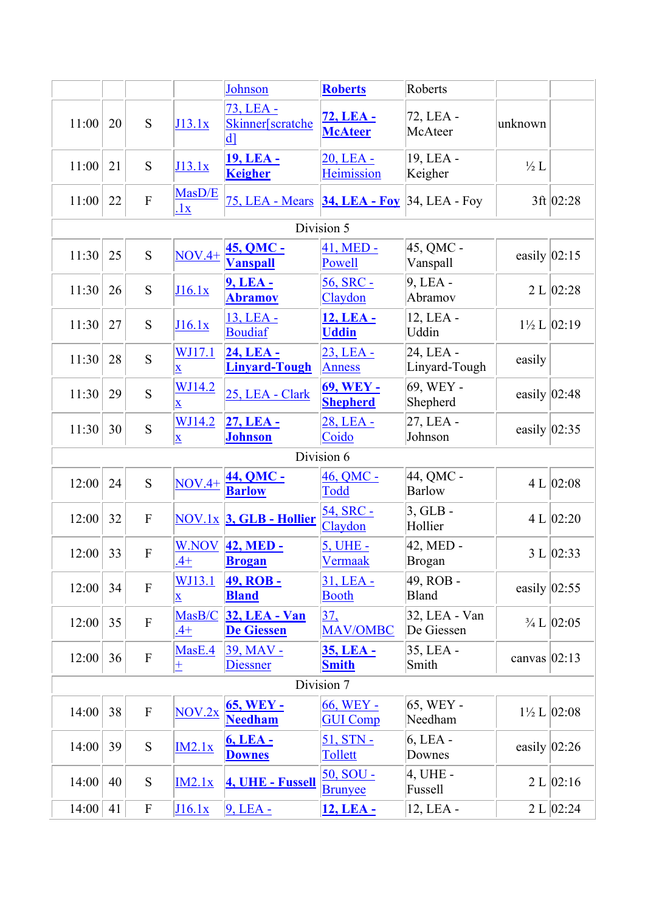|            |            |                           |                                          | Johnson                                       | <b>Roberts</b>                      | Roberts                     |                  |                           |  |  |
|------------|------------|---------------------------|------------------------------------------|-----------------------------------------------|-------------------------------------|-----------------------------|------------------|---------------------------|--|--|
| 11:00      | 20         | S                         | J13.1x                                   | 73, LEA -<br>Skinner[scratche<br>$\mathbf{d}$ | 72, LEA -<br><b>McAteer</b>         | 72, LEA -<br>McAteer        | unknown          |                           |  |  |
| 11:00      | 21         | S                         | J13.1x                                   | <u> 19, LEA -</u><br><b>Keigher</b>           | 20, LEA -<br>Heimission             | 19, LEA -<br>Keigher        | $\frac{1}{2}L$   |                           |  |  |
| 11:00      | 22         | $\overline{F}$            | MasD/E<br>.1x                            | 75, LEA - Mears                               | <b>34, LEA - Foy</b>                | $34$ , LEA - Foy            |                  | $3ft$ 02:28               |  |  |
| Division 5 |            |                           |                                          |                                               |                                     |                             |                  |                           |  |  |
| 11:30      | 25         | S                         | $NOV.4+$                                 | <b>45, QMC -</b><br><b>Vanspall</b>           | 41, MED -<br>Powell                 | 45, QMC -<br>Vanspall       | easily $ 02:15$  |                           |  |  |
| 11:30      | 26         | S                         | J16.1x                                   | <b>9, LEA -</b><br><b>Abramov</b>             | 56, SRC -<br>Claydon                | 9, LEA -<br>Abramov         |                  | 2 L   02:28               |  |  |
| 11:30      | 27         | S                         | J16.1x                                   | 13, LEA -<br><b>Boudiaf</b>                   | 12, LEA -<br><b>Uddin</b>           | 12, LEA -<br>Uddin          |                  | $1\frac{1}{2}$ L $ 02:19$ |  |  |
| 11:30      | 28         | S                         | WJ17.1<br>$\overline{\mathbf{X}}$        | 24, LEA -<br><b>Linyard-Tough</b>             | 23, LEA -<br><b>Anness</b>          | 24, LEA -<br>Linyard-Tough  | easily           |                           |  |  |
| 11:30      | 29         | S                         | WJ14.2<br>$\overline{\mathbf{X}}$        | 25, LEA - Clark                               | <b>69, WEY -</b><br><b>Shepherd</b> | 69, WEY -<br>Shepherd       | easily $ 02:48$  |                           |  |  |
| 11:30      | 30         | S                         | WJ14.2<br>$\overline{\mathbf{X}}$        | 27, LEA -<br><b>Johnson</b>                   | 28, LEA -<br>Coido                  | 27, LEA -<br>Johnson        | easily $ 02:35 $ |                           |  |  |
|            |            |                           |                                          |                                               | Division 6                          |                             |                  |                           |  |  |
| 12:00      | 24         | S                         | $NOV.4+$                                 | 44, QMC -<br><b>Barlow</b>                    | 46, QMC -<br>Todd                   | 44, QMC -<br><b>Barlow</b>  |                  | 4 L   02:08               |  |  |
| 12:00      | 32         | ${\bf F}$                 |                                          | $NOV.1x$ 3, GLB - Hollier                     | 54, SRC -<br>Claydon                | $3, GLB -$<br>Hollier       |                  | 4 L   02:20               |  |  |
| 12:00      | 33         | ${\bf F}$                 | <b>W.NOV</b><br>$\frac{4+}{4}$           | 42, MED -<br><b>Brogan</b>                    | <u>5, UHE -</u><br><b>Vermaak</b>   | 42, MED -<br><b>Brogan</b>  |                  | 3 L   02:33               |  |  |
| 12:00      | 34         | ${\bf F}$                 | <u>WJ13.1</u><br>$\overline{\mathbf{X}}$ | <u>49, ROB -</u><br><b>Bland</b>              | $31, LEA -$<br><b>Booth</b>         | 49, ROB -<br><b>Bland</b>   | easily $ 02:55$  |                           |  |  |
| 12:00      | 35         | ${\bf F}$                 | MasB/C<br>$.4+$                          | <b>32, LEA - Van</b><br>De Giessen            | 37.<br>MAV/OMBC                     | 32, LEA - Van<br>De Giessen |                  | $\frac{3}{4}$ L $ 02:05 $ |  |  |
| 12:00      | 36         | ${\bf F}$                 | MasE.4<br>$\pm$                          | 39, MAV -<br>Diessner                         | <u>35, LEA -</u><br><b>Smith</b>    | 35, LEA -<br>Smith          | canvas $ 02:13$  |                           |  |  |
|            | Division 7 |                           |                                          |                                               |                                     |                             |                  |                           |  |  |
| 14:00      | 38         | $\boldsymbol{\mathrm{F}}$ | NOV.2x                                   | <b>65, WEY -</b><br><b>Needham</b>            | 66, WEY -<br><b>GUI Comp</b>        | 65, WEY -<br>Needham        |                  | $1\frac{1}{2}$ L $ 02:08$ |  |  |
| 14:00      | 39         | ${\bf S}$                 | IM2.1x                                   | 6, LEA -<br><b>Downes</b>                     | 51, STN -<br>Tollett                | 6, LEA -<br>Downes          | easily $ 02:26$  |                           |  |  |
| 14:00      | 40         | S                         | IM2.1x                                   | 4, UHE - Fussell                              | $50, SOU -$<br><b>Brunyee</b>       | 4, UHE -<br>Fussell         |                  | 2 L   02:16               |  |  |
| 14:00      | 41         | $\boldsymbol{\mathrm{F}}$ | J16.1x                                   | $9,LEA -$                                     | 12, LEA -                           | 12, LEA -                   |                  | 2 L   02:24               |  |  |